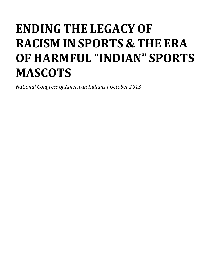# **ENDING THE LEGACY OF RACISM IN SPORTS & THE ERA OF HARMFUL "INDIAN" SPORTS MASCOTS**

*National Congress of American Indians | October 2013*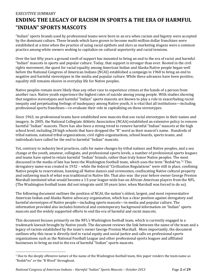## E*XECUTIVE SUMMARY* **ENDING THE LEGACY OF RACISM IN SPORTS & THE ERA OF HARMFUL "INDIAN" SPORTS MASCOTS**

"Indian" sports brands used by professional teams were born in an era when racism and bigotry were accepted by the dominant culture. These brands which have grown to become multi-million dollar franchises were established at a time when the practice of using racial epithets and slurs as marketing slogans were a common practice among white owners seeking to capitalize on cultural superiority and racial tensions.

Over the last fifty years a ground swell of support has mounted to bring an end to the era of racist and harmful "Indian" mascots in sports and popular culture. Today, that support is stronger than ever. Rooted in the civil rights movement, the quest for racial equality among American Indian and Alaska Native people began well before the National Congress of American Indians (NCAI) established a campaign in 1968 to bring an end to negative and harmful stereotypes in the media and popular culture. While these advances have been positive, equality still remains elusive in everyday life for Native peoples.

Native peoples remain more likely than any other race to experience crimes at the hands of a person from another race. Native youth experience the highest rates of suicide among young people. With studies showing that negative stereotypes and harmful "Indian" sports mascots are known to play a role in exacerbating racial inequity and perpetuating feelings of inadequacy among Native youth, it is vital that all institutions—including professional sports franchises—re-evaluate their role in capitalizing on these stereotypes.

Since 1963, no professional teams have established new mascots that use racial stereotypes in their names and imagery. In 2005, the National Collegiate Athletic Association (NCAA) established an extensive policy to remove harmful "Indian" mascots. There has also been a strong trend to remove harmful "Indian" mascots at the high school level, including 28 high schools that have dropped the "R" word as their mascot's name. Hundreds of tribal nations, national tribal organizations, civil rights organizations, school boards, sports teams, and individuals have called for the end to harmful "Indian" mascots.

Yet, contrary to industry best practices, calls for name changes by tribal nations and Native peoples, and a sea change at the youth, amateur, collegiate, and professional sports levels, a number of professional sports leagues and teams have opted to retain harmful "Indian" brands, rather than truly honor Native peoples. The most discussed in the media of late has been the Washington football team, which uses the term "Redsk\*ns." <sup>1</sup> This derogatory name was created in 1932 – while the federal "Civilization Regulations" were still in place, confining Native people to reservations, banning all Native dances and ceremonies, confiscating Native cultural property and outlawing much of what was traditional in Native life. That also was the year before owner George Preston Marshall instituted what would become a 13-year league-wide ban on African-American players from the NFL. (The Washington football team did not integrate until 30 years later, when Marshall was forced to do so).

The following document outlines the position of NCAI, the nation's oldest, largest, and most representative American Indian and Alaska Native advocacy organization, which has a clear position against derogatory and harmful stereotypes of Native people—including sports mascots—in media and popular culture. The information provided also includes historical and contemporary background information on "Indian" sports mascots and the widely supported efforts to end the era of harmful and racist mascots.

This document focuses primarily on the NFL's Washington football team, which is currently engaged in a trademark lawsuit brought by Native youth. The document reviews the link between the name of the team and a legacy of racism established by the team's owner George Preston Marshall. More importantly, the document outlines why this issue is directly tied to racial equity and social justice and calls on professional sports organizations such as the National Football League and other professional sports leagues and affiliated businesses to bring an end to the era of harmful "Indian" sports mascots.

 $\overline{\phantom{a}}$ 

 $1$  Due to the deeply offensive nature of the name of the Washington football team, this paper renders the team name as "Redsk\*ns" or the "R Word" throughout.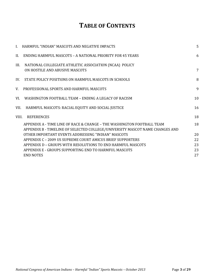# **TABLE OF CONTENTS**

|       | I. HARMFUL "INDIAN" MASCOTS AND NEGATIVE IMPACTS                                                                                                       | 5  |
|-------|--------------------------------------------------------------------------------------------------------------------------------------------------------|----|
| II.   | ENDING HARMFUL MASCOTS - A NATIONAL PRIORITY FOR 45 YEARS                                                                                              | 6  |
| III.  | NATIONAL COLLEGIATE ATHLETIC ASSOCIATION (NCAA) POLICY<br>ON HOSTILE AND ABUSIVE MASCOTS                                                               | 7  |
| IV.   | STATE POLICY POSITIONS ON HARMFUL MASCOTS IN SCHOOLS                                                                                                   | 8  |
| V.    | PROFESSIONAL SPORTS AND HARMFUL MASCOTS                                                                                                                | 9  |
| VI.   | WASHINGTON FOOTBALL TEAM - ENDING A LEGACY OF RACISM                                                                                                   | 10 |
| VII.  | HARMFUL MASCOTS: RACIAL EQUITY AND SOCIAL JUSTICE                                                                                                      | 16 |
| VIII. | <b>REFERENCES</b>                                                                                                                                      | 18 |
|       | APPENDIX A - TIME LINE OF RACE & CHANGE - THE WASHINGTON FOOTBALL TEAM<br>APPENDIX B - TIMELINE OF SELECTED COLLEGE/UNIVERSITY MASCOT NAME CHANGES AND | 18 |
|       | OTHER IMPORTANT EVENTS ADDRESSING "INDIAN" MASCOTS                                                                                                     | 20 |
|       | APPENDIX C - 2009 US SUPREME COURT AMICUS BRIEF SUPPORTERS                                                                                             | 22 |
|       | APPENDIX D - GROUPS WITH RESOLUTIONS TO END HARMFUL MASCOTS                                                                                            | 23 |
|       | APPENDIX E - GROUPS SUPPORTING END TO HARMFUL MASCOTS                                                                                                  | 23 |
|       | <b>END NOTES</b>                                                                                                                                       | 27 |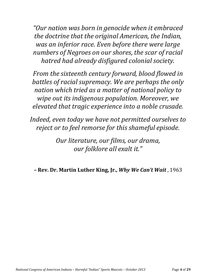*"Our nation was born in genocide when it embraced the doctrine that the original American, the Indian, was an inferior race. Even before there were large numbers of Negroes on our shores, the scar of racial hatred had already disfigured colonial society.* 

*From the sixteenth century forward, blood flowed in battles of racial supremacy. We are perhaps the only nation which tried as a matter of national policy to wipe out its indigenous population. Moreover, we elevated that tragic experience into a noble crusade.* 

*Indeed, even today we have not permitted ourselves to reject or to feel remorse for this shameful episode.* 

> *Our literature, our films, our drama, our folklore all exalt it."*

*–* **Rev. Dr. Martin Luther King, Jr.,** *Why We Can't Wait* , 1963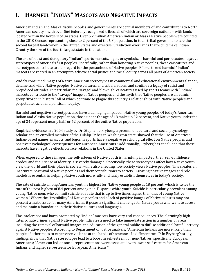## **I. HARMFUL "INDIAN" MASCOTS AND NEGATIVE IMPACTS**

American Indian and Alaska Native peoples and governments are central members of and contributors to North American society – with over 566 federally recognized tribes, all of which are sovereign nations – with lands located within the borders of 34 states. Over 5.2 million American Indian or Alaska Native people were counted in the 2010 Census representing close to 2 percent of the US population. In total, tribal governments are the second largest landowner in the United States and exercise jurisdiction over lands that would make Indian Country the size of the fourth largest state in the nation.

The use of racist and derogatory "Indian" sports mascots, logos, or symbols, is harmful and perpetuates negative stereotypes of America's first peoples. Specifically, rather than honoring Native peoples, these caricatures and stereotypes contribute to a disregard for the personhood of Native peoples. Efforts to end harmful "Indian" mascots are rooted in an attempt to achieve social justice and racial equity across all parts of American society.

Widely consumed images of Native American stereotypes in commercial and educational environments slander, defame, and vilify Native peoples, Native cultures, and tribal nations, and continue a legacy of racist and prejudiced attitudes. In particular, the 'savage' and 'clownish' caricatures used by sports teams with "Indian" mascots contribute to the "savage" image of Native peoples and the myth that Native peoples are an ethnic group 'frozen in history.' All of which continue to plague this country's relationships with Native peoples and perpetuate racial and political inequity.

Harmful and negative stereotypes also have a damaging impact on Native young people. Of today's American Indian and Alaska Native population, those under the age of 18 make up 32 percent, and Native youth under the age of 24 represent nearly half, or 42 percent, of the entire Native population.

Empirical evidence in a 2004 study by Dr. Stephanie Fryberg, a preeminent cultural and social psychology scholar and an enrolled member of the Tulalip Tribes in Washington state, showed that the use of American Indian-based names, mascots, and logos in sports have a negative psychological effect on Native peoples and positive psychological consequences for European Americans. <sup>1</sup> Additionally, Fryberg has concluded that these mascots have negative effects on race relations in the United States.

When exposed to these images, the self-esteem of Native youth is harmfully impacted, their self-confidence erodes, and their sense of identity is severely damaged. Specifically, these stereotypes affect how Native youth view the world and their place in society, while also affecting how society views Native peoples. This creates an inaccurate portrayal of Native peoples and their contributions to society. Creating positive images and role models is essential in helping Native youth more fully and fairly establish themselves in today's society.

The rate of suicide among American youth is highest for Native young people at 18 percent, which is twice the rate of the next highest of 8.4 percent among non-Hispanic white youth. Suicide is particularly prevalent among young Native men, who commit suicide at a rate that is up to five times higher than that of young Native women.<sup>2</sup> Where the "invisibility" of Native peoples and a lack of positive images of Native cultures may not present a major issue for many Americans, it poses a significant challenge for Native youth who want to access and maintain a foundation in their Native cultures and languages.

The intolerance and harm promoted by "Indian" mascots have very real consequences. The alarmingly high rates of hate crimes against Native people indicates a need to take immediate action in a number of areas, including the removal of harmful images and education of the general public to diffuse additional hateful activity against Native peoples. According to Department of Justice analysis, "American Indians are more likely than people of other races to experience violence at the hands of someone of a different race."<sup>3</sup> In Fryberg's study, findings show that Native stereotypes lead to a boost in self-esteem for non-Natives, specifically European Americans; "American Indian social representations were associated with lower self-esteem for American Indians and higher self-esteem for European Americans."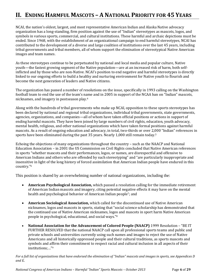## **II. ENDING HARMFUL MASCOTS – A NATIONAL PRIORITY FOR 45 YEARS**

NCAI, the nation's oldest, largest, and most representative American Indian and Alaska Native advocacy organization has a long-standing, firm position against the use of "Indian" stereotypes as mascots, logos, and symbols in various sports, commercial, and cultural institutions. These harmful and archaic depictions must be ended. Since 1968, with the establishment of an organizational campaign to end harmful stereotypes, NCAI has contributed to the development of a diverse and large coalition of institutions over the last 45 years, including tribal governments and tribal members, all of whom support the elimination of stereotypical Native American images and team names.

As these stereotypes continue to be perpetuated by national and local media and popular culture, Native youth—the fastest growing segment of the Native population—are at an increased risk of harm, both selfinflicted and by those who are non-Native. NCAI's position to end negative and harmful stereotypes is directly linked to our ongoing efforts to build a healthy and nurturing environment for Native youth to flourish and become the next generation of leaders and Native citizens.

The organization has passed a number of resolutions on the issue, specifically in 1993 calling on the Washington football team to end the use of the team's name and in 2005 in support of the NCAA ban on "Indian" mascots, nicknames, and imagery in postseason play. 4

Along with the hundreds of tribal governments who make up NCAI, opposition to these sports stereotypes has been declared by national and regional tribal organizations, individual tribal governments, state governments, agencies, organizations, and companies—all of whom have taken official positions or actions in support of ending harmful mascots. They have been joined by large numbers of civil rights, education, youth advocacy, mental health, religious, and other national organizations which have taken formal positions against harmful mascots. As a result of ongoing education and advocacy, in total, two-thirds or over 2,000 "Indian" references in sports have been eliminated during the past 35 years. Nearly 1,000 still remain today.<sup>5</sup>

Echoing the objections of many organizations throughout the country – such as the NAACP and National Education Association – in 2001 the US Commission on Civil Rights concluded that Native American references in sports "whether mascots and their performances, logos, or names, are disrespectful and offensive to American Indians and others who are offended by such stereotyping" and "are particularly inappropriate and insensitive in light of the long history of forced assimilation that American Indian people have endured in this country."<sup>6</sup>

This position is shared by an overwhelming number of national organizations, including the:

- **American Psychological Association,** which passed a resolution calling for the immediate retirement of American Indian mascots and imagery, citing potential negative effects it may have on the mental health and psychological behavior of American Indian people<sup>7</sup>; and
- **American Sociological Association,** which called for the discontinued use of Native American nicknames, logos and mascots in sports, stating that "social science scholarship has demonstrated that the continued use of Native American nicknames, logos and mascots in sport harm Native American people in psychological, educational, and social ways."<sup>8</sup>
- **National Association for the Advancement of Colored People (NAACP)** 1999 Resolution "BE IT FURTHER RESOLVED that the national NAACP call upon all professional sports teams and public and private schools and universities currently using such names and images to reject the use of Native Americans and all historically oppressed people and their cultural traditions, as sports mascots and symbols and affirm their commitment to respect racial and cultural inclusion in all aspects of their institutions;…"<sup>9</sup>

*For a full list of organizations that have endorsed the elimination of "Indian" mascots and images in sports, see Appendices D and E.*

*National Congress of American Indians – Harmful "Indian" Sports Mascots – October 2013* Page **6** of **29**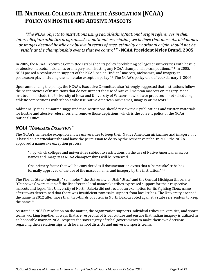## **III. NATIONAL COLLEGIATE ATHLETIC ASSOCIATION (NCAA) POLICY ON HOSTILE AND ABUSIVE MASCOTS**

*"The NCAA objects to institutions using racial/ethnic/national origin references in their intercollegiate athletics programs...As a national association, we believe that mascots, nicknames or images deemed hostile or abusive in terms of race, ethnicity or national origin should not be visible at the championship events that we control."* **- NCAA President Myles Brand, 2005**

In 2005, the NCAA Executive Committee established its policy "prohibiting colleges or universities with hostile or abusive mascots, nicknames or imagery from hosting any NCAA championship competitions."<sup>10</sup> In 2005, NCAI passed a resolution in support of the NCAA ban on "Indian" mascots, nicknames, and imagery in postseason play, including the namesake exception policy.<sup>11</sup> The NCAA's policy took effect February 1, 2006.

Upon announcing the policy, the NCAA's Executive Committee also "strongly suggested that institutions follow the best practices of institutions that do not support the use of Native American mascots or imagery. Model institutions include the University of Iowa and University of Wisconsin, who have practices of not scheduling athletic competitions with schools who use Native American nicknames, imagery or mascots."<sup>12</sup>

Additionally, the Committee suggested that institutions should review their publications and written materials for hostile and abusive references and remove those depictions, which is the current policy of the NCAA National Office.

#### *NCAA "NAMESAKE EXCEPTION"*

The NCAA's namesake exception allows universities to keep their Native American nicknames and imagery if it is based on a particular tribe and have the permission to do so by the respective tribe. In 2005 the NCAA approved a namesake exception process;

"…by which colleges and universities subject to restrictions on the use of Native American mascots, names and imagery at NCAA championships will be reviewed…

One primary factor that will be considered is if documentation exists that a 'namesake' tribe has formally approved of the use of the mascot, name, and imagery by the institution." 13

The Florida State University "Seminoles," the University of Utah "Utes," and the Central Michigan University "Chippewas" were taken off the list after the local namesake tribes expressed support for their respective mascots and logos. The University of North Dakota did not receive an exemption for its Fighting Sioux name after it was determined that there was insufficient namesake support from local tribes. The University dropped the name in 2012 after more than two-thirds of voters in North Dakota voted against a state referendum to keep the name.<sup>14</sup>

As stated in NCAI's resolution on the matter, the organization supports individual tribes, universities, and sports teams working together in ways that are respectful of tribal culture and ensure that Indian imagery is utilized in an honorable manner. NCAI respects the sovereignty of tribal governments to make their own decisions regarding their relationships with local school districts and university sports teams.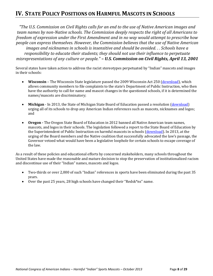## **IV. STATE POLICY POSITIONS ON HARMFUL MASCOTS IN SCHOOLS**

*"The U.S. Commission on Civil Rights calls for an end to the use of Native American images and team names by non-Native schools. The Commission deeply respects the right of all Americans to freedom of expression under the First Amendment and in no way would attempt to prescribe how people can express themselves. However, the Commission believes that the use of Native American images and nicknames in schools is insensitive and should be avoided. . . Schools have a responsibility to educate their students; they should not use their influence to perpetuate misrepresentations of any culture or people." – U.S. Commission on Civil Rights, April 13, 2001*

Several states have taken action to address the racist stereotypes perpetuated by "Indian" mascots and images in their schools:

- **Wisconsin** The Wisconsin State legislature passed the 2009 Wisconsin Act 250 (*download*), which allows community members to file complaints to the state's Department of Public Instruction, who then have the authority to call for name and mascot changes in the questioned schools, if it is determined the names/mascots are discriminatory;
- Michigan In 2013, the State of Michigan State Board of Education passed a resolution [\(download\)](http://www.michigan.gov/documents/mascots_69612_7.res.pdf) urging all of its schools to drop any American Indian references such as mascots, nicknames and logos; and
- **Oregon -** The Oregon State Board of Education in 2012 banned all Native American team names, mascots, and logos in their schools. The legislation followed a report to the State Board of Education by the Superintendent of Public Instruction on harmful mascots in schools [\(download\)](http://www.ode.state.or.us/superintendent/priorities/native-american-mascot-report.pdf). In 2013, at the urging of the Board members and the Native coalition that successfully advocated the law's passage, the Governor vetoed what would have been a legislative loophole for certain schools to escape coverage of the law.

As a result of these policies and educational efforts by concerned stakeholders, many schools throughout the United States have made the reasonable and mature decision to stop the preservation of institutionalized racism and discontinue use of their "Indian" names, mascots and logos.

- Two-thirds or over 2,000 of such "Indian" references in sports have been eliminated during the past 35 years.
- Over the past 25 years, 28 high schools have changed their "Redsk\*ns" name.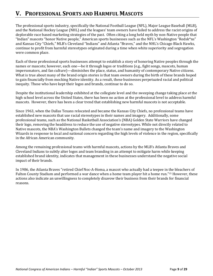## **V. PROFESSIONAL SPORTS AND HARMFUL MASCOTS**

The professional sports industry, specifically the National Football League (NFL), Major League Baseball (MLB), and the National Hockey League (NHL) and the leagues' team owners have failed to address the racist origins of deplorable race based marketing strategies of the past. Often citing a long held myth by non-Native people that "Indian" mascots "honor Native people," American sports businesses such as the NFL's Washington "Redsk\*ns" and Kansas City "Chiefs," MLB's Cleveland "Indians" and Atlanta "Braves," and the NHL's Chicago Black Hawks, continue to profit from harmful stereotypes originated during a time when white superiority and segregation were common place.

Each of these professional sports businesses attempt to establish a story of honoring Native peoples through the names or mascots; however, each one—be it through logos or traditions (e.g., fight songs, mascots, human impersonators, and fan culture)—diminishes the place, status, and humanity of contemporary Native citizens. What is true about many of the brand origin stories is that team owners during the birth of these brands hoped to gain financially from mocking Native identity. As a result, these businesses perpetuated racial and political inequity. Those who have kept their logos and brands, continue to do so.

Despite the institutional leadership exhibited at the collegiate level and the sweeping change taking place at the high school level across the United States, there has been no action at the professional level to address harmful mascots. However, there has been a clear trend that establishing new harmful mascots is not acceptable.

Since 1963, when the Dallas Texans relocated and became the Kansas City Chiefs, no professional teams have established new mascots that use racial stereotypes in their names and imagery. Additionally, some professional teams, such as the National Basketball Association's (NBA) Golden State Warriors have changed their logo, removing the headdress to reduce the use of negative stereotypes. While not directly related to Native mascots, the NBA's Washington Bullets changed the team's name and imagery to the Washington Wizards in response to local and national concern regarding the high levels of violence in the region, specifically in the African American community.

Among the remaining professional teams with harmful mascots, actions by the MLB's Atlanta Braves and Cleveland Indians to subtly alter logos and team branding in an attempt to mitigate harm while keeping established brand identity, indicates that management in these businesses understand the negative social impact of their brands.

In 1986, the Atlanta Braves "retired Chief Noc-A-Homa, a mascot who actually had a teepee in the bleachers of Fulton County Stadium and performed a war dance when a home team player hit a home run." <sup>15</sup> However, these actions also indicate an unwillingness to completely disavow their business from their brands for financial reasons.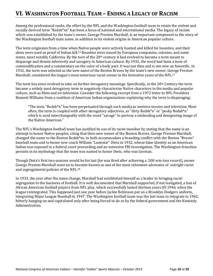## **VI. WASHINGTON FOOTBALL TEAM – ENDING A LEGACY OF RACISM**

Among the professional ranks, the effort by the NFL and the Washington football team to retain the violent and racially derived term "Redsk\*ns" has been a focus of national and international media. The legacy of racism which was established by the team's owner, George Preston Marshall, is an important component to the story of the Washington football team name, in addition to its violent origins in American popular culture.

<span id="page-9-0"></span>The term originates from a time when Native people were actively hunted and killed for bounties, and their skins were used as proof of Indian kill.<sup>16</sup> Bounties were issued by European companies, colonies, and some states, most notably California. By the turn of the  $20<sup>th</sup>$  century it had evolved to become a term meant to disparage and denote inferiority and savagery in American culture. By 1932, the word had been a term of commodification and a commentary on the color of a body part. It was not then and is not now an honorific. In 1932, the term was selected as the new name of the Boston Braves by the team's new owner, George Preston Marshall; considered the league's most notorious racist owner in the formative years of the NFL.<sup>17</sup>

The term has since evolved to take on further derogatory meanings. Specifically, in the 20<sup>th</sup> Century the term became a widely used derogatory term to negatively characterize Native characters in the media and popular culture, such as films and on television. Consider the following excerpt from a 1972 letter to NFL President Bennett Williams from a coalition of American Indian organizations explaining why the term is disparaging:

"The term "Redsk\*n" has been perpetuated through such media as western movies and television. Most often, the term is coupled with other derogatory adjectives, as "dirty Redsk\*n" or "pesky Redsk\*n" which is used interchangeably with the word "savage" to portray a misleading and denigrating image of the Native American."

The NFL's Washington football team has justified its use of its racist moniker by stating that the name is an attempt to honor Native peoples, citing that then-new owner of the Boston Braves, George Preston Marshall, changed the name to the Boston Redsk\*ns, to both accommodate a branding conflict with the Boston "Braves" baseball team and to honor new coach William "Lonestar" Dietz in 1932, whose false identity as an American Indian was exposed in a federal court proceeding and an extensive FBI investigation. The Washington franchise persists in its mythology that the team was named to honor Dietz, who was German.

Though Dietz's first two seasons would be his last (he was fired after achieving a .500 win-loss record), owner George Preston Marshall went on to become known as one of the most vehement advocates of outright racist and segregationist policies of the NFL.<sup>18</sup>

In 1933, the year after the name change, Marshall had established himself as a leader in bringing racial segregation to the business of football. It is well documented that Marshall supported, if not instigated, a ban of African American football players from NFL play, which successfully lasted thirteen years till 1946, when the league reintegrated. This happened just one year before Jackie Robinson put on a Brooklyn Dodgers uniform, integrating Major League Baseball in 1947. The Washington football team was the last team to integrate in 1962, bitterly hanging on and capitulated only after being forced to do so by the federal government and the Kennedy Administration.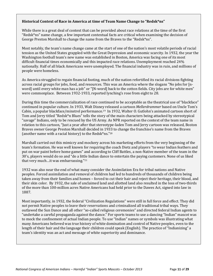#### **Historical Context of Race in America at time of Team Name Change to "Redsk\*ns"**

While there is a great deal of context that can be provided about race relations at the time of the first "Redsk\*ns" name change, a few important contextual facts are critical when examining the decision of George Preston Marshall to change the name from the Braves to the "Redsk\*ns".

Most notably, the team's name change came at the start of one of the nation's most volatile periods of racial tension as the United States grappled with the Great Depression and economic scarcity. In 1932, the year the Washington football team's new name was established in Boston, America was facing one of its most difficult financial times economically and this impacted race relations. Unemployment reached 24% nationally. Half of all black Americans were unemployed. The financial industry was in ruin, and millions of people were homeless.

As America struggled to regain financial footing, much of the nation refortified its racial divisions fighting across racial groups for jobs, food, and resources. This was an America where the slogans "No jobs for [nword] until every white man has a job" or "[N-word] back to the cotton fields. City jobs are for white men" were commonplace. Between 1932-1933, reported lynching's rose from eight to 28.

During this time the commercialization of race continued to be acceptable as the theatrical use of "blackface" continued in popular culture. In 1933, Walt Disney released a cartoon *Mellerdrammer* based on Uncle Tom's Cabin, a popular blackface/minstrel performance. <sup>19</sup> In 1932, Walter O. Gutlohn's animated cartoon short of Tom and Jerry titled "Redsk\*n Blues" tells the story of the main characters being attacked by stereotypical "savage" Indians, only to be rescued by the US Army. As NPR reported on the context of the team name in relation to this cartoon, "Just a year after that stereotype-laden Tom and Jerry cartoon was released, Boston Braves owner George Preston Marshall decided in 1933 to change the franchise's name from the Braves (another name with a racial history) to the Redsk\*ns." 20

Marshall carried out this mimicry and mockery across his marketing efforts from the very beginning of the team's formation. He was well known for requiring the coach Dietz and players "to wear Indian feathers and put on war paint before home games" and according to Cliff Battles, a non-Native member of the team in the 30's, players would do so and "do a little Indian dance to entertain the paying customers. None of us liked that very much…it was embarrassing."<sup>21</sup>

1932 was also near the end of what many consider the Assimilation Era for tribal nations and Native peoples. Forced assimilation and removal of children had led to hundreds of thousands of children being taken away from their families and homes – forced to cut their hair and reject their heritage, their blood, and their skin color. By 1932, the sale of unclaimed land and allotted land also resulted in the loss of two-thirds of the more than 100-million acres Native Americans had held prior to the Dawes Act, signed into law in 1887.

Most importantly, in 1932, the federal "Civilization Regulations" were still in full force and effect. They did not permit Native peoples to leave their reservations and criminalized all traditional tribal ways. They outlawed the Sun Dance and all other "so-called religious ceremonies" and directed federal Indian agents to "undertake a careful propaganda against the dance." For sports teams to use a dancing "Indian" mascot was to mock the confinement of actual Indian people. To use "Indian" names or symbols was illustrating what many Americans believed was true history of white domination and control of Native peoples, even to the length of their hair and the language their children could speak (English). The practice of "Indianizing" a team's identity was an act and message of white superiority and dominance.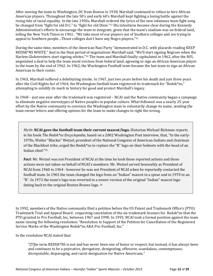After moving the team to Washington, DC from Boston in 1938, Marshall continued to refuse to hire African American players. Throughout the late 50's and early 60's Marshall kept fighting a losing battle against the rising tide of racial equality. In the late 1950s, Marshall ordered the lyrics of the now infamous team fight song be changed from "fight for old D.C." to "fight for old Dixie."<sup>22</sup> His intentions became clear during the Kennedy Administration's efforts to encourage the team to integrate, given that the team's stadium was on federal land, telling the New York Times in 1961 , "We take most of our players out of Southern colleges and are trying to appeal to Southern people…Those colleges don't have any Negro players."<sup>23</sup>

<span id="page-11-1"></span>During the same time, members of the American Nazi Party "demonstrated in D.C. with placards reading KEEP REDSK\*NS WHITE." And in the final period of negotiations Marshall said, "We'll start signing Negroes when the Harlem Globetrotters start signing whites."<sup>24</sup> The team and Marshall finally capitulated in 1962, after the NFL negotiated a deal to help the team avoid eviction from federal land, agreeing to sign an African American player to the team by the end of 1962. In 1962, the Washington Football team became the last team to sign an African American to their roster.

In 1963, Marshall suffered a debilitating stroke. In 1967, just two years before his death and just three years after the Civil Rights Act of 1964, the Washington football team registered its trademark for "Redsk\*ns," attempting to solidify its mark in history for good and protect Marshall's legacy.

In 1968 – just one year after the trademark was registered – NCAI and the Native community began a campaign to eliminate negative stereotypes of Native peoples in popular culture. What followed was a nearly 25-year effort by the Native community to convince the Washington team to voluntarily change its name, sending the team owner letters and offering options for the team to make changes to right the wrong.

*Myth***: NCAI gave the football team their current mascot/logo.** Historian Michael Richman reports in his book *The Redsk\*ns Encyclopedia*, based on a 2002 Washington Post interview, that, "In the early-1970s, Walter "Blackie" Wetzel, president of the National Congress of American Indians and chairman of the Blackfoot tribe, urged the Redsk\*ns to replace the "R" logo on their helmets with the head of an Indian chief."<sup>25</sup>

<span id="page-11-0"></span>*Fact*: Mr. Wetzel was not President of NCAI at the time he took these reported actions and these actions were not taken on behalf of NCAI's members. Mr. Wetzel served honorably as President of NCAI from 1960 to 1964 - however he was not President of NCAI when he reportedly contacted the football team. In 1965 the team changed the logo from an "Indian" mascot to a spear and in 1970 to an "R". In 1972 the team's logo was reverted to a newer version of the original "Indian" mascot logo dating back to the original Boston Braves logo. <sup>26</sup>

In 1992, members of the Native community filed a petition before the US Patent and Trademark Office's (PTO) Trademark Trial and Appeal Board , requesting cancelation of the six trademark licenses for Redsk\*ns that the PTO granted to Pro Football, Inc, between 1967 and 1990. In 1993, NCAI took a formal position against the team name issuing the following resolution: "Resolution in Support of the Petition for Cancellation of the Registered Service Marks of the Washington Redsk\*ns AKA Pro-Football, Inc."

In the resolution NCAI stated that:

"[T]he term REDSK\*NS is not and has never been one of honor or respect, but instead, it has always been and continues to be a pejorative, derogatory, denigrating, offensive, scandalous, contemptuous, disreputable, disparaging, and racist designation for Native Americans."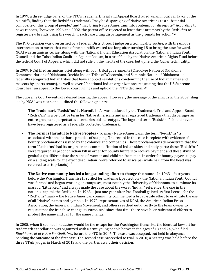In 1999, a three-judge panel of the PTO's Trademark Trial and Appeal Board ruled unanimously in favor of the plaintiffs, finding that the Redsk\*ns trademark "may be disparaging of Native Americans to a substantial composite of this group of people," and "may bring Native Americans into contempt or disrepute." According to news reports, "between 1996 and 2002, the patent office rejected at least three attempts by the Redsk\*ns to register new brands using the word, in each case citing disparagement as the grounds for action."27

The PTO decision was overturned by a federal District court judge on a technicality, *laches,* with the unique interpretation to mean that each of the plaintiffs waited too long after turning 18 to bring the case forward. NCAI was an amicus curiae, along with the National Indian Education Association, the National Indian Youth Council and the Tulsa Indian Coalition Against Racism, in a brief filed by the Native American Rights Fund before the federal Court of Appeals, which did not rule on the merits of the case, but upheld the *laches* technicality.

In 2009, NCAI filed an amicus brief along with four tribal governments (Cherokee Nation of Oklahoma, Comanche Nation of Oklahoma, Oneida Indian Tribe of Wisconsin, and Seminole Nation of Oklahoma – all federally recognized Indian tribes that have adopted resolutions condemning the use of Indian names and mascots by sports teams), as well as over 20 national Indian organizations, requesting that the US Supreme Court hear an appeal to the lower court rulings and uphold the PTO's decision. 28

The Supreme Court eventually denied hearing the appeal. However, the message of the amicus in the 2009 filing led by NCAI was clear, and outlined the following points:

- **The Trademark "Redsk\*ns" is Harmful –** As was declared by the Trademark Trial and Appeal Board, "Redsk\*ns" is a pejorative term for Native Americans and is a registered trademark that disparages an entire group and perpetuates a centuries old stereotype. The logo and term "Redsk\*ns" should never have been registered as a federally protected trademark;
- **The Term is Harmful to Native Peoples -** To many Native Americans, the term "Redsk\*ns" is associated with the barbaric practice of scalping. The record in this case is replete with evidence of bounty proclamations issued by the colonies and companies. These proclamations demonstrate that the term "Redsk\*ns" had its origins in the commodification of Indian skins and body parts; these "Redsk\*ns" were required as proof of Indian kill in order for bounty hunters to receive payment and these skins of genitalia (to differentiate the skins of women and children from men, in order for bounty payers to pay on a sliding scale for the exact dead Indian) were referred to as scalps (while hair from the head was referred to as top-knots); $^{16}$  $^{16}$  $^{16}$
- **The Native community has led a long standing effort to change the name -** In 1963 four years before the Washington franchise first filed for trademark protection – the National Indian Youth Council was formed and began working on campuses, most notably the University of Oklahoma, to eliminate its mascot, "Little Red," and always made the case about the worst "Indian" reference, the one in the nation's capital, the Red\*kins. In 1968, – just one year after Pro-Football gained its first license for the "Red\*kins" mark – the Native American community commenced a broad-scale effort to eradicate the use of all "Native" names and symbols. In 1972, representatives of NCAI, the American Indian Press Association, the American Indian Movement, and others reached out directly to the team owner to request that the franchise change its name. And since that time there have been substantial efforts to protest the name and call for the name change.

In 2005, when it seemed like *laches* would be the escape for the Washington franchise, the identical lawsuit for trademark cancellation was organized with Native young people between the ages of 18 and 24, who filed *Blackhorse et al v. Pro Football, Inc.,* before the PTO in 2006. The case was accepted, but held in abeyance, pending the outcome of the first case. The second case proceeded to trial in 2010; a hearing was held before the three TTAB judges in March of 2013 and the parties await their decision.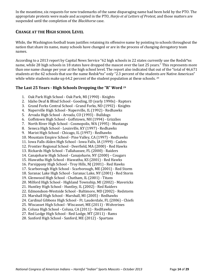In the meantime, six requests for new trademarks of the same disparaging name had been held by the PTO. The appropriate protests were made and accepted in the PTO, *Harjo et al Letters of Protest,* and those matters are suspended until the completion of the *Blackhorse* case.

#### **CHANGE AT THE HIGH SCHOOL LEVEL**

While, the Washington football team justifies retaining its offensive name by pointing to schools throughout the nation that share its name, many schools have changed or are in the process of changing derogatory team names.

According to a 2013 report by Capital News Service "62 high schools in 22 states currently use the Redsk\*ns name, while 28 high schools in 18 states have dropped the mascot over the last 25 years." This represents more than one name change per year at the high school level. The report also indicated that out of the "total of 46,671 students at the 62 schools that use the name Redsk\*ns" only "2.3 percent of the students are Native American" while white students make up 64.2 percent of the student population at these schools. <sup>29</sup>

#### **The Last 25 Years - High Schools Dropping the "R" Word [29](#page-13-0)**

- <span id="page-13-0"></span>1. Oak Park High School - Oak Park, MI (1990) - Knights
- 2. Idaho Deaf & Blind School Gooding, ID (early 1990s) Raptors
- 3. Grand Forks Central School Grand Forks, ND (1992) Knights
- 4. Naperville High School Naperville, IL (1992) Redhawks
- 5. Arvada High School Arvada, CO (1993) Bulldogs
- 6. Goffstown High School Goffstown, NH (1994) Grizzlies
- 7. North River High School Cosmopolis, WA (1995) Mustangs
- 8. Seneca High School Louisville, KY (1997) Redhawks
- 9. Marist High School Chicago, IL (1997) Redhawks
- 10. Mountain Empire School Pine Valley, CA (1997) Redhawks
- 11. Iowa Falls-Alden High School Iowa Falls, IA (1999) Cadets
- 12. Frontier Regional School Deerfield, MA (2000) Red Hawks
- 13. Rickards High School Tallahassee, FL (2000) Raiders
- 14. Canajoharie High School Canajoharie, NY (2000) Cougars
- 15. Hiawatha High School Hiawatha, KS (2001) Red Hawks
- 16. Parsippany High School Troy Hills, NJ (2001) Red Hawks
- 17. Scarborough High School Scarborough, ME (2001) Red Storm
- 18. Saranac Lake High School Saranac Lake, NY (2001) Red Storm
- 19. Glenwood High School Chatham, IL (2001) Titans
- 20. Milford High School Highland Township, MI (2002) Mavericks
- 21. Huntley High School Huntley, IL (2002) Red Raiders
- 22. Edmondson-Westside School Baltimore, MD (2002) Redstorm
- 23. Marshall High School Marshall, MI (2005) Redhawks
- 24. Cardinal Gibbons High School Ft. Lauderdale, FL (2006) Chiefs
- 25. Wiscasset High School Wiscasset, ME (2011) Wolverines
- 26. Colusa High School Colusa, CA (2011) RedHawks
- 27. Red Lodge High School Red Lodge, MT (2011) Rams
- 28. Sanford High School Sanford, ME (2012) Spartans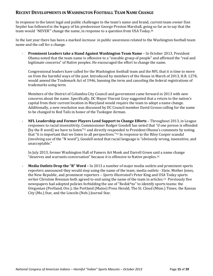#### **RECENT DEVELOPMENTS IN WASHINGTON FOOTBALL TEAM NAME CHANGE**

In response to the latest legal and public challenges to the team's name and brand, current team owner Dan Snyder has followed in the legacy of his predecessor George Preston Marshall, going so far as to say that the team would 'NEVER'" change the name, in response to a question from USA Today.<sup>30</sup>

In the last year there has been a marked increase in public awareness related to the Washington football team name and the call for a change.

- **Prominent Leaders take a Stand Against Washington Team Name** – In October 2013, President Obama noted that the team name is offensive to a "sizeable group of people" and affirmed the "real and legitimate concerns" of Native peoples. He encouraged the effort to change the name.

Congressional leaders have called for the Washington football team and the NFL that it is time to move on from the harmful ways of the past. Introduced by members of the House in March of 2013, H.R. 1278, would amend the Trademark Act of 1946, banning the term and canceling the federal registrations of trademarks using term.

Members of the District of Columbia City Council and government came forward in 2013 with new concerns about the name. Specifically, DC Mayor Vincent Gray suggested that a return to the nation's capital from their current location in Maryland would require the team to adopt a name change. Additionally, a new resolution was discussed by DC Council member David Grosso calling for the name to be changed to Red Tails in honor of the Tuskegee Airman.

- **NFL Leadership and Former Players Lend Support to Change Efforts** – Throughout 2013, in League responses to racial insensitivity, Commissioner Rodger Goodell has noted that "if one person is offended [by the R word] we have to listen"<sup>31</sup> and directly responded to President Obama's comments by noting that "it is important that we listen to all perspectives."<sup>32</sup> In response to the Riley Cooper scandal (involving use of the "N word"), Goodell noted that racial language is "obviously wrong, insensitive, and unacceptable."

In July 2013, former Washington Hall of Famers Art Monk and Darrell Green said a name change "deserves and warrants conversation" because it is offensive to Native peoples.<sup>33</sup>

- **Media Outlets Drop the "R" Word –** In 2013 a number of major media outlets and prominent sports reporters announced they would stop using the name of the team; media outlets - Slate, Mother Jones, the New Republic, and prominent reporters – *Sports Illustrated's* Peter King and USA Today sports writer Christine Brennan both agreed to end using the name of the team in articles.<sup>34</sup> Previously five newspapers had adopted policies forbidding the use of "Redsk\*ns" to identify sports teams: the Oregonian (Portland, Ore.); the Portland (Maine) Press Herald; The St. Cloud (Minn.) Times; the Kansas City (Mo.) Star, and the Lincoln (Neb.) Journal Star.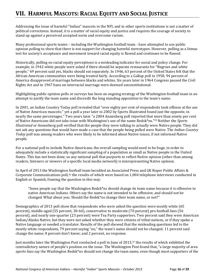## **VII. HARMFUL MASCOTS: RACIAL EQUITY AND SOCIAL JUSTICE**

Addressing the issue of harmful "Indian" mascots in the NFL and in other sports institutions is not a matter of political correctness. Instead, it is a matter of racial equity and justice and requires the courage of society to stand up against a perceived accepted norm and overcome racism.

Many professional sports teams – including the Washington football team - have attempted to use public opinion polling to show that there is not support for changing harmful stereotypes. However, polling as a litmus test for society's acceptance and movement toward racial equity is flawed and continues to be flawed.

Historically, polling on racial equity perceptions is a misleading indicator for social and policy change. For example, in 1942 white people were asked if there should be separate restaurants for "Negroes and white people," 69 percent said yes, blacks should eat separately. In 1946, 63 percent of the United States felt that the African American communities were being treated fairly. According to a Gallup poll in 1958, 94 percent of America disapproved of marriage between blacks and whites. Six years later in 1964 Congress passed the Civil Rights Act and in 1967 bans on interracial marriage were deemed unconstitutional.

Highlighting public opinion polls or surveys has been an ongoing strategy of the Washington football team in an attempt to justify the team name and discredit the long standing opposition to the team's name.

In 2001, an Indian Country Today poll revealed that "over eighty per cent of respondents took offense at the use of Native American mascots;" yet a poll a year later in 2002 by Sports Illustrated found just the opposite, in nearly the same percentages." Two years later "a 2004 Annenberg poll reported that more than ninety per cent of Native Americans did not take issue with Washington's use of the name Redsk\*ns."<sup>35</sup> Neither the *Sports Illustrated* or Annenberg poll verified that the people they were talking to actually were Native people. They did not ask any questions that would have made a case that the people being polled were Native. The *Indian Country Today* poll was among readers who were likely to be informed about Native issues, if not informed Native people.

For a national poll to include Native Americans, the overall sampling would need to be huge, in order to adequately include a statistically significant sampling of a population as small as Native people in the United States. This has not been done, so any national poll that purports to reflect Native opinion (other than among readers, listeners or viewers of a specific local media network) is misrepresenting Native opinion.

In April of 2013 the Washington football team heralded an Associated Press and GK Roper Public Affairs & Corporate Communications poll, <sup>36</sup> the results of which were based on 1,004 telephone interviews conducted in English or Spanish, framing the question in this way:

"Some people say that the Washington Redsk\*ns should change its team name because it is offensive to native American Indians. Others say the name is not intended to be offensive, and should not be changed. What about you: Should the Redsk\*ns change their team name, or not?"

Demographics of 2013 poll show that respondents who were asked the question were mostly white (65 percent), middle-aged (55 percent, 30-64), conservative to moderate (70 percent) pro football fans (56 percent), and nearly one-quarter (23 percent) were Tea Party supporters. Two percent said they were American Indian/Alaska Native, but they were not asked whether they were citizens of tribal nations, or if they spoke a Native language or needed a translator. Results of the poll showed that the misleading questions led to the mostly white respondents, 79 percent saying "no," the team's name should not be changed; 11 percent said change the name; 8 percent don't know; and 2 percent, no response.

Just months later the Washington Post conducted a poll in June of 2013,<sup>37</sup> the results of which exhibited the contradictory nature of people's position on the issue. The Washington Post found that, "a large majority of area sports fans say the Washington Redsk\*ns should not change the team name, even though most supporters of the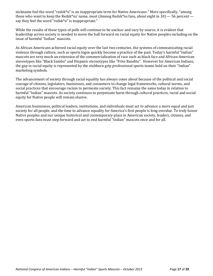nickname feel the word "redsk\*n" is an inappropriate term for Native Americans." More specifically, "among those who want to keep the Redsk\*ns' name, most (Among Redsk\*ns fans, about eight in  $10$ )  $-56$  percent  $$ say they feel the word "redsk\*n" is inappropriate."

While the results of these types of polls will continue to be unclear and vary by source, it is evident that leadership across society is needed to move the ball forward on racial equity for Native peoples including on the issue of harmful "Indian" mascots.

As African Americans achieved racial equity over the last two centuries, the systems of communicating racial violence through culture, such as sports logos quickly became a practice of the past. Today's harmful "Indian" mascots are very much an extension of the commercialization of race such as black face and African-American stereotypes like "Black Sambo" and Hispanic stereotypes like "Frito Bandito". However for American Indians, the gap in racial equity is represented by the stubborn grip professional sports teams hold on their "Indian" marketing symbols.

The advancement of society through racial equality has always come about because of the political and social courage of citizens, legislators, businesses, and consumers to change legal frameworks, cultural norms, and social practices that encourage racism to permeate society. This fact remains the same today in relation to harmful "Indian" mascots. As society continues to perpetuate harm through cultural practices, racial and social equity for Native people will remain elusive.

American businesses, political leaders, institutions, and individuals must act to advance a more equal and just society for all people, and the time to advance equality for America's first people is long overdue. To truly honor Native peoples and our unique historical and contemporary place in American society, leaders, citizens, and even sports fans must step forward and act to end harmful "Indian" mascots once and for all.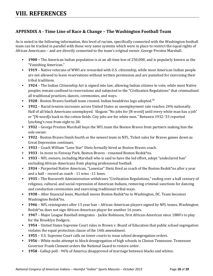#### **APPENDIX A - Time Line of Race & Change – The Washington Football Team**

As is noted in the following information, this level of racism, specifically connected with the Washington football team can be tracked in parallel with these very same systems which were in place to restrict the equal rights of African Americans – and are directly connected to the team's original owner, George Preston Marshall.

- **1900 –** The American Indian population is at an all-time low of 250,000, and is popularly known as the "Vanishing American."
- **1919** Native veterans of WWI are rewarded with U.S. citizenship, while most American Indian people are not allowed to leave reservations without written permission and are punished for exercising their tribal traditions.
- **1924** The Indian Citizenship Act is signed into law, allowing Indian citizens to vote, while most Native peoples remain confined to reservations and subjected to the "Civilization Regulations" that criminalized all traditional practices, dances, ceremonies, and ways.
- **1928** Boston Braves football team created. Indian headdress logo adopted.<sup>[26](#page-11-0)</sup>
- **1932** Racial tension increases across United States as unemployment rate reaches 24% nationally. Half of all black Americans unemployed. Slogans "No jobs for [N-word] until every white man has a job" or "[N-word]s back to the cotton fields. City jobs are for white men." Between 1932-'33 reported lynching's rose from eight to 28.
- **1932** George Preston Marshall buys the NFL team the Boston Braves from partners making him the sole owner.
- **1932** Boston Braves finish fourth as the newest team in NFL. Ticket sales for Braves games down as Great Depression continues.
- **1933** Coach William "Lone Star" Dietz formally hired as Boston Braves coach.
- **1933** In move to Fenway Park, Boston Braves renamed Boston Redsk\*ns.
- **1933** NFL owners, including Marshall who is said to have the led effort, adopt "undeclared ban" excluding African-Americans from playing professional football.
- **1934** Purported Native American, "Lonestar" Dietz fired as coach of the Boston Redsk\*ns after a year and a half – record as coach - 11 wins –11 loses.
- **1935 –** The Roosevelt Administration withdraws "Civilization Regulations," ending over a half century of religious, cultural, and social repression of American Indians, removing criminal sanctions for dancing and conduction ceremonies and exercising traditional tribal ways.
- **1938** After financial loses, Marshall moves Boston Redsk\*ns to Washington, DC. Team becomes Washington Redsk\*ns.
- **1946** NFL reintegrates after 13 year ban African-American players signed by NFL teams, Washington Redsk\*ns does not sign African-American player for another 16 years.
- **1947** Major League Baseball integrates Jackie Robinson, first African-American since 1880's to play for the Brooklyn Dodgers.
- **1954** United States Supreme Court rules in Brown v. Board of Education that public school segregation violates the equal protection clause of the 14th amendment.
- **1955** U.S. Supreme Court calls on lower courts to issue school desegregation orders.
- **1956** White mobs attempt to block desegregation of high schools in Clinton Tennessee. Tennessee Governor Frank Clement orders the National Guard to restore order.
- **1958** Gallup poll 94% of America disapproved of marriage between blacks and whites.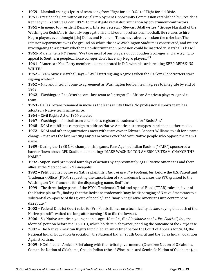- **1959** Marshall changes lyrics of team song from "fight for old D.C." to "Fight for old Dixie.
- **1961** President's Committee on Equal Employment Opportunity Commission established by President Kennedy in Executive Order 10925 to investigate racial discrimination by government contractors.
- **1961** In memo to President Kennedy, Interior Secretary Stewart Udall writes, "George Marshall of the Washington Redsk\*ns is the only segregationist hold-out in professional football. He refuses to hire Negro players even thought [sic] Dallas and Houston, Texas have already broken the color bar. The Interior Department owns the ground on which the new Washington Stadium is constructed, and we are investigating to ascertain whether a no-discrimination provision could be inserted in Marshall's lease."
- **1961** Marshal tells NY Times, "We take most of our players out of Southern colleges and are trying to appeal to Southern people...Those colleges don't have any Negro players."<sup>[23](#page-11-1)</sup>
- **1961** "American Nazi Party members...demonstrated in D.C. with placards reading KEEP REDSK\*NS WHITE."
- **1962** Team owner Marshall says "We'll start signing Negroes when the Harlem Globetrotters start signing whites."
- **1962** NFL and Interior come to agreement as Washington football team agrees to integrate by end of 1962.
- **1962** Washington Redsk\*ns become last team to "integrate" African American players signed to team.
- **1963** Dallas Texans renamed in move as the Kansas City Chiefs. No professional sports team has adopted a Native team name since.
- **1964** Civil Rights Act of 1964 enacted.
- **1967** Washington football team establishes registered trademark for "Redsk\*ns".
- **1968** NCAI establishes campaign to address Native American stereotypes in print and other media.
- **1972 –** NCAI and other organizations meet with team owner Edward Bennett Williams to ask for a name change – that was the last meeting any team owner ever had with Native people who oppose the team's name.
- **1989** During the 1988 NFC championship game, Fans Against Indian Racism ("FAIR") sponsored a banner flown above RFK Stadium demanding: "MAKE WASHINGTON AMERICA'S TEAM. CHANGE THE NAME."
- **1992** Super Bowl prompted four days of actions by approximately 3,000 Native Americans and their allies at the Metrodome in Minneapolis.
- **1992** Petition filed by seven Native plaintiffs, *Harjo et al v. Pro Football, Inc.* before the U.S. Patent and Trademark Office' (PTO), requesting the cancelation of six trademark licenses the PTO granted to the Washington NFL franchise for the disparaging name, Red\*kins.
- **1999** The three-judge panel of the PTO's Trademark Trial and Appeal Boad (TTAB) rules in favor of the Native plaintiffs , finding that the Red\*kins trademark "may be disparaging of Native Americans to a substantial composite of this group of people," and "may bring Native Americans into contempt or disrepute."
- **2003 –** Federal District Court rules for Pro Football, Inc., on a technicality, *laches*, saying that each of the Native plaintiffs waited too long after turning 18 to file the lawsuit.
- **2006 –** Six Native American young people, ages 18 to 24,, file *Blackhorse et al v. Pro Football, Inc.,* the identical petition before the U.S. PTO, which holds it in abeyance, pending the outcome of the *Harjo* case.
- **2007 –** The Native American Rights Fund filed an amici brief before the Court of Appeals for NCAI, the National Indian Education Association, the National Indian Youth Council and the Tulsa Indian Coalition Against Racism.
- **2009** NCAI filed an Amicus Brief along with four tribal governments (Cherokee Nation of Oklahoma, Comanche Nation of Oklahoma, Oneida Indian tribe of Wisconsin, and Seminole Nation of Oklahoma), as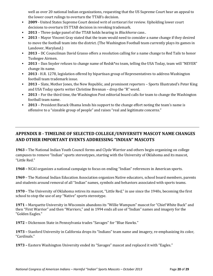well as over 20 national Indian organizations, requesting that the US Supreme Court hear an appeal to the lower court rulings to overturn the TTAB's decision.

- **2009** United States Supreme Court denied writ of certiorari for review. Upholding lower court decisions to overturn US TTAB decision in revoking trademark.
- **2013** Three-judge panel of the TTAB holds hearing in *Blackhorse* case..
- **2013** Mayor Vincent Gray stated that the team would need to consider a name change if they desired to move the football team into the district. (The Washington Football team currently plays its games in Landover, Maryland.)
- **2013** DC Councilman David Grasso offers a resolution calling for a name change to Red Tails to honor Tuskegee Airmen.
- **2013** Dan Snyder refuses to change name of Redsk\*ns team, telling the USA Today, team will "NEVER" change its name.
- **2013** H.R. 1278, legislation offered by bipartisan group of Representatives to address Washington football team trademark issue.
- **2013** Slate, Mother Jones, the New Republic, and prominent reporters Sports Illustrated's Peter King and USA Today sports writer Christine Brennan – drop the "R" word.
- **2013**  For the third time, the Washington Post editorial board calls for team to change the Washington football team name.
- **2013**  President Barack Obama lends his support to the change effort noting the team's name is offensive to a "sizeable group of people" and raises "real and legitimate concerns."

### **APPENDIX B - TIMELINE OF SELECTED COLLEGE/UNIVERSITY MASCOT NAME CHANGES AND OTHER IMPORTANT EVENTS ADDRESSING "INDIAN" MASCOTS**

**1963 –** The National Indian Youth Council forms and Clyde Warrior and others begin organizing on college campuses to remove "Indian" sports stereotypes, starting with the University of Oklahoma and its mascot, "Little Red."

**1968 –** NCAI organizes a national campaign to focus on ending "Indian" references in American sports.

**1969** – The National Indian Education Association organizes Native educators, school board members, parents and students around removal of all "Indian" names, symbols and behaviors associated with sports teams.

**1970** – The University of Oklahoma retires its mascot, "Little Red," in use since the 1940s, becoming the first school to stop the use of any "Native" sports stereotype.

**1971 –** Marquette University in Wisconsin abandons its "Willie Wampum" mascot for "Chief White Buck" and then "First Warrior" and then "Warriors," and in 1994 ends all use of "Indian" names and imagery for the "Golden Eagles."

**1972 –** Dickenson State in Pennsylvania trades "Savages" for "Blue Hawks."

**1973 –** Stanford University in California drops its "Indians" team name and imagery, re-emphasizing its color, "Cardinals."

**1973 –** Eastern Washington University ended its "Savages" mascot and replaced it with "Eagles."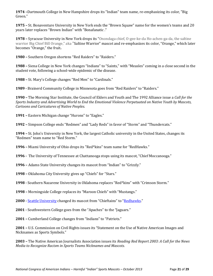**1974 –**Dartmouth College in New Hampshire drops its "Indian" team name, re-emphasizing its color, "Big Green."

**1975 –** St. Bonaventure University in New York ends the "Brown Squaw" name for the women's teams and 20 years later replaces "Brown Indian" with "Bonafanatic ."

**1978 –** Syracuse University in New York drops its "Onondaga chief, O-gee-ke-da Ho-achen-ga-da, the saltine warrior Big Chief Bill Orange," aka "Saltine Warrior" mascot and re-emphasizes its color, "Orange," which later becomes "Orange," the fruit**.**

**1980 –** Southern Oregon shortens "Red Raiders" to "Raiders."

**1988 –** Siena College in New York changes "Indians" to "Saints," with "Measles" coming in a close second in the student vote, following a school-wide epidemic of the disease.

**1988 –** St. Mary's College changes "Red Men" to "Cardinals."

**1989 -** Brainerd Community College in Minnesota goes from "Red Raiders" to "Raiders."

**1990 –** The Morning Star Institute, the Council of Elders and Youth and The 1992 Alliance issue a *Call for the Sports Industry and Advertising World to End the Emotional Violence Perpetuated on Native Youth by Mascots, Cartoons and Caricatures of Native Peoples.*

**1991 –** Eastern Michigan change "Hurons" to "Eagles."

**1992 –** Simpson College ends "Redmen" and "Lady Reds" in favor of "Storm" and "Thundercats."

**1994 –** St. John's University in New York, the largest Catholic university in the United States, changes its "Redmen" team name to "Red Storm."

**1996 –** Miami University of Ohio drops its "Red\*kins" team name for "RedHawks."

**1996 -** The University of Tennessee at Chattanooga stops using its mascot, "Chief Moccanooga."

**1996 –** Adams State University changes its mascot from "Indian" to "Grizzly."

- **1998 –** Oklahoma City University gives up "Chiefs" for "Stars."
- **1998 -** Southern Nazarene University in Oklahoma replaces "Red\*kins" with "Crimson Storm."
- **1998 –** Morningside College replaces its "Maroon Chiefs" with "Mustangs."
- **2000 -** [Seattle University](http://en.wikipedia.org/wiki/Seattle_University) changed its mascot from "Chieftains" to "[Redhawks](http://en.wikipedia.org/wiki/Seattle_Redhawks)."
- **2001 -** Southwestern College goes from the "Apaches" to the "Jaguars."

**2001 –** Cumberland College changes from "Indians" to "Patriots."

**2001 –** U.S. Commission on Civil Rights issues its "Statement on the Use of Native American Images and Nicknames as Sports Symbols."

**2003 –** The Native American Journalists Association issues its *Reading Red Report 2003: A Call for the News Media to Recognize Racism in Sports Teams Nicknames and Mascots.*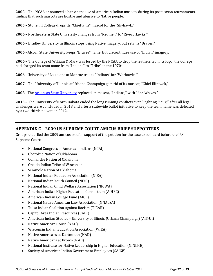**2005** – The NCAA announced a ban on the use of American Indian mascots during its postseason tournaments, finding that such mascots are hostile and abusive to Native people.

**2005 –** Stonehill College drops its "Chieftains" mascot for the "Skyhawk."

**2006 –** Northeastern State University changes from "Redmen" to "RiverLHawks."

**2006 –** Bradley University in Illinois stops using Native imagery, but retains "Braves."

**2006 -** Alcorn State University keeps "Braves" name, but discontinues use of "Indian" imagery.

**2006 –** The College of William & Mary was forced by the NCAA to drop the feathers from its logo; the College had changed its team name from "Indians" to "Tribe" in the 1970s.

**2006 -** University of Louisiana at Monroe trades "Indians" for "Warhawks."

**2007 –** The University of Illinois at Urbana-Champaign gets rid of its mascot, "Chief Illiniwek,"

**2008 -** The [Arkansas State University](http://en.wikipedia.org/wiki/Arkansas_State_University) replaced its mascot, "Indians," with "Red Wolves."

**2013** – The University of North Dakota ended the long running conflicts over "Fighting Sioux," after all legal challenges were concluded in 2013 and after a statewide ballot initiative to keep the team name was defeated by a two-thirds no vote in 2012.

#### **APPENDIX C – 2009 US SUPREME COURT AMICUS BRIEF SUPPORTERS**

Groups that filed the 2009 amicus brief in support of the petition for the case to be heard before the U.S. Supreme Court:

- National Congress of American Indians (NCAI)
- Cherokee Nation of Oklahoma
- Comanche Nation of Oklahoma
- Oneida Indian Tribe of Wisconsin
- Seminole Nation of Oklahoma
- National Indian Education Association (NIEA)
- National Indian Youth Council (NIYC)
- National Indian Child Welfare Association (NICWA)
- American Indian Higher Education Consortium (AIHEC)
- American Indian College Fund (AICF)
- National Native American Law Association (NNALSA)
- Tulsa Indian Coalition Against Racism (TICAR)
- Capitol Area Indian Resources (CAIR)
- American Indian Studies University of Illinois (Urbana Champaign) (AIS-UI)
- Native American House (NAH)
- Wisconsin Indian Education Association (WIEA)
- Native Americans at Dartmouth (NAD)
- Native Americans at Brown (NAB)
- National Institute for Native Leadership in Higher Education (NINLHE)
- Society of American Indian Government Employees (SAIGE)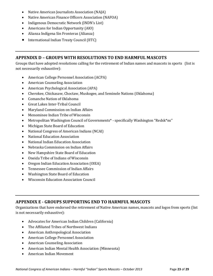- Native American Journalists Association (NAJA)
- Native American Finance Officers Association (NAFOA)
- Indigenous Democratic Network (INDN's List)
- Americans for Indian Opportunity (AIO)
- Alianza Indígena Sin Fronteras (Alianza)
- International Indian Treaty Council (IITC)

#### **APPENDIX D – GROUPS WITH RESOLUTIONS TO END HARMFUL MASCOTS**

Groups that have adopted resolutions calling for the retirement of Indian names and mascots in sports (list is not necessarily exhaustive):

- American College Personnel Association (ACPA)
- American Counseling Association
- American Psychological Association (APA)
- Cherokee, Chickasaw, Choctaw, Muskogee, and Seminole Nations (Oklahoma)
- Comanche Nation of Oklahoma
- Great Lakes Inter-Tribal Council
- Maryland Commission on Indian Affairs
- Menominee Indian Tribe of Wisconsin
- Metropolitan Washington Council of Governments\* specifically Washington "Redsk\*ns"
- Michigan State Board of Education
- National Congress of American Indians (NCAI)
- National Education Association
- National Indian Education Association
- Nebraska Commission on Indian Affairs
- New Hampshire State Board of Education
- Oneida Tribe of Indians of Wisconsin
- Oregon Indian Education Association (OIEA)
- Tennessee Commission of Indian Affairs
- Washington State Board of Education
- Wisconsin Education Association Council

#### **APPENDIX E - GROUPS SUPPORTING END TO HARMFUL MASCOTS**

Organizations that have endorsed the retirement of Native American names, mascots and logos from sports (list is not necessarily exhaustive):

- Advocates for American Indian Children (California)
- The Affiliated Tribes of Northwest Indians
- American Anthropological Association
- American College Personnel Association
- American Counseling Association
- American Indian Mental Health Association (Minnesota)
- American Indian Movement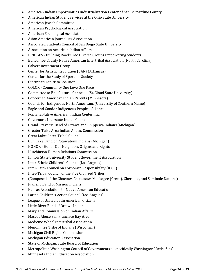- American Indian Opportunities Industrialization Center of San Bernardino County
- American Indian Student Services at the Ohio State University
- American Jewish Committee
- American Psychological Association
- American Sociological Association
- Asian American Journalists Association
- Associated Students Council of San Diego State University
- Association on American Indian Affairs
- BRIDGES Building Roads Into Diverse Groups Empowering Students
- Buncombe County Native American Intertribal Association (North Carolina)
- Calvert Investment Group
- Center for Artistic Revolution (CAR) (Arkansas)
- Center for the Study of Sports in Society
- Cincinnati Zapitista Coalition
- COLOR Community One Love One Race
- Committee to End Cultural Genocide (St. Cloud State University)
- Concerned American Indian Parents (Minnesota)
- Council for Indigenous North Americans (University of Southern Maine)
- Eagle and Condor Indigenous Peoples' Alliance
- Fontana Native American Indian Center, Inc.
- Governor's Interstate Indian Council
- Grand Traverse Band of Ottawa and Chippewa Indians (Michigan)
- Greater Tulsa Area Indian Affairs Commission
- Great Lakes Inter-Tribal Council
- Gun Lake Band of Potawatomi Indians (Michigan)
- HONOR Honor Our Neighbors Origins and Rights
- Hutchinson Human Relations Commission
- Illinois State University Student Government Association
- Inter-Ethnic Children's Council (Los Angeles)
- Inter-Faith Council on Corporate Responsibility (ICCR)
- Inter-Tribal Council of the Five Civilized Tribes
- (Composed of the Choctaw, Chickasaw, Muskogee (Creek), Cherokee, and Seminole Nations)
- Juaneño Band of Mission Indians
- Kansas Association for Native American Education
- Latino Children's Action Council (Los Angeles)
- League of United Latin American Citizens
- Little River Band of Ottawa Indians
- Maryland Commission on Indian Affairs
- Mascot Abuse San Francisco Bay Area
- Medicine Wheel Intertribal Association
- Menominee Tribe of Indians (Wisconsin)
- Michigan Civil Rights Commission
- Michigan Education Association
- State of Michigan, State Board of Education
- Metropolitan Washington Council of Governments\* specifically Washington "Redsk\*ins"
- Minnesota Indian Education Association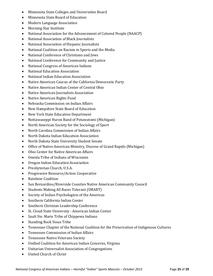- Minnesota State Colleges and Universities Board
- Minnesota State Board of Education
- Modern Language Association
- Morning Star Institute
- National Association for the Advancement of Colored People (NAACP)
- National Association of Black Journalists
- National Association of Hispanic Journalists
- National Coalition on Racism in Sports and the Media
- National Conference of Christians and Jews
- National Conference for Community and Justice
- National Congress of American Indians
- National Education Association
- National Indian Education Association
- Native American Caucus of the California Democratic Party
- Native American Indian Center of Central Ohio
- Native American Journalists Association
- Native American Rights Fund
- Nebraska Commission on Indian Affairs
- New Hampshire State Board of Education
- New York State Education Department
- Nottawaseppi Huron Band of Potawatomi (Michigan)
- North American Society for the Sociology of Sport
- North Carolina Commission of Indian Affairs
- North Dakota Indian Education Association
- North Dakota State University Student Senate
- Office of Native American Ministry, Diocese of Grand Rapids (Michigan)
- Ohio Center for Native American Affairs
- Oneida Tribe of Indians of Wisconsin
- Oregon Indian Education Association
- Presbyterian Church, U.S.A.
- Progressive Resource/Action Cooperative
- Rainbow Coalition
- San Bernardino/Riverside Counties Native American Community Council
- Students Making All Races Tolerant (SMART)
- Society of Indian Psychologists of the Americas
- Southern California Indian Center
- Southern Christian Leadership Conference
- St. Cloud State University American Indian Center
- Sault Ste. Marie Tribe of Chippewa Indians
- Standing Rock Sioux Tribe
- Tennessee Chapter of the National Coalition for the Preservation of Indigenous Cultures
- Tennessee Commission of Indian Affairs
- Tennessee Native Veterans Society
- Unified Coalition for American Indian Concerns, Virginia
- Unitarian Universalist Association of Congregations
- United Church of Christ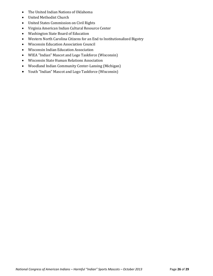- The United Indian Nations of Oklahoma
- United Methodist Church
- United States Commission on Civil Rights
- Virginia American Indian Cultural Resource Center
- Washington State Board of Education
- Western North Carolina Citizens for an End to Institutionalized Bigotry
- Wisconsin Education Association Council
- Wisconsin Indian Education Association
- WIEA "Indian" Mascot and Logo Taskforce (Wisconsin)
- Wisconsin State Human Relations Association
- Woodland Indian Community Center-Lansing (Michigan)
- Youth "Indian" Mascot and Logo Taskforce (Wisconsin)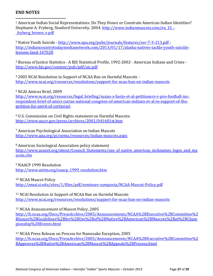#### **END NOTES**

 $\overline{\phantom{a}}$ 

<sup>1</sup> American Indian Social Representations: Do They Honor or Constrain American Indian Identities? Stephanie A. Fryberg, Stanford University. 2004. http://www.indianmascots.com/ex 15 -[\\_fryberg\\_brown\\_v.pdf](http://www.indianmascots.com/ex_15_-_fryberg_brown_v.pdf)

<sup>2</sup> Native Youth Suicide - <http://www.apa.org/pubs/journals/features/ser-7-3-213.pdf>; [http://indiancountrytodaymedianetwork.com/2013/01/17/alaska-natives-tackle-youth-suicide](http://indiancountrytodaymedianetwork.com/2013/01/17/alaska-natives-tackle-youth-suicide-lessons-land-147028)[lessons-land-147028](http://indiancountrytodaymedianetwork.com/2013/01/17/alaska-natives-tackle-youth-suicide-lessons-land-147028)

<sup>3</sup> Bureau of Justice Statistics - A BJS Statistical Profile, 1992-2002 - American Indians and Crime <http://www.bjs.gov/content/pub/pdf/aic.pdf>

<sup>4</sup> 2005 NCAI Resolution in Support of NCAA Ban on Harmful Mascots <http://www.ncai.org/resources/resolutions/support-for-ncaa-ban-on-indian-mascots>

<sup>5</sup> NCAI Amicus Brief, 2009

[http://www.ncai.org/resources/legal\\_briefing/suzan-s-harjo-et-al-petitioners-v-pro-football-inc](http://www.ncai.org/resources/legal_briefing/suzan-s-harjo-et-al-petitioners-v-pro-football-inc-respondent-brief-of-amici-curiae-national-congress-of-american-indians-et-al-in-support-of-the-petition-for-awrit-of-certiorari)[respondent-brief-of-amici-curiae-national-congress-of-american-indians-et-al-in-support-of-the](http://www.ncai.org/resources/legal_briefing/suzan-s-harjo-et-al-petitioners-v-pro-football-inc-respondent-brief-of-amici-curiae-national-congress-of-american-indians-et-al-in-support-of-the-petition-for-awrit-of-certiorari)[petition-for-awrit-of-certiorari](http://www.ncai.org/resources/legal_briefing/suzan-s-harjo-et-al-petitioners-v-pro-football-inc-respondent-brief-of-amici-curiae-national-congress-of-american-indians-et-al-in-support-of-the-petition-for-awrit-of-certiorari)

<sup>6</sup> U.S. Commission on Civil Rights statement on Harmful Mascots: <http://www.usccr.gov/press/archives/2001/041601st.htm>

<sup>7</sup> American Psychological Association on Indian Mascots <http://www.apa.org/pi/oema/resources/indian-mascots.aspx>

<sup>8</sup> American Sociological Association policy statement

http://www.asanet.org/about/Council Statements/use of native american nicknames logos and ma [scots.cfm](http://www.asanet.org/about/Council_Statements/use_of_native_american_nicknames_logos_and_mascots.cfm)

<sup>9</sup> NAACP 1999 Resolution [http://www.aistm.org/naacp\\_1999\\_resolution.htm](http://www.aistm.org/naacp_1999_resolution.htm)

<sup>10</sup> NCAA Mascot Policy

<http://nmai.si.edu/sites/1/files/pdf/seminars-symposia/NCAA-Mascot-Policy.pdf>

<sup>11</sup> NCAI Resolution in Support of NCAA Ban on Harmful Mascots <http://www.ncai.org/resources/resolutions/support-for-ncaa-ban-on-indian-mascots>

<sup>12</sup> NCAA Announcement of Mascot Policy, 2005

[http://fs.ncaa.org/Docs/PressArchive/2005/Announcements/NCAA%2BExecutive%2BCommittee%2](http://fs.ncaa.org/Docs/PressArchive/2005/Announcements/NCAA%2BExecutive%2BCommittee%2BIssues%2BGuidelines%2Bfor%2BUse%2Bof%2BNative%2BAmerican%2BMascots%2Bat%2BChampionship%2BEvents.html) [BIssues%2BGuidelines%2Bfor%2BUse%2Bof%2BNative%2BAmerican%2BMascots%2Bat%2BCham](http://fs.ncaa.org/Docs/PressArchive/2005/Announcements/NCAA%2BExecutive%2BCommittee%2BIssues%2BGuidelines%2Bfor%2BUse%2Bof%2BNative%2BAmerican%2BMascots%2Bat%2BChampionship%2BEvents.html) [pionship%2BEvents.html](http://fs.ncaa.org/Docs/PressArchive/2005/Announcements/NCAA%2BExecutive%2BCommittee%2BIssues%2BGuidelines%2Bfor%2BUse%2Bof%2BNative%2BAmerican%2BMascots%2Bat%2BChampionship%2BEvents.html)

<sup>13</sup> NCAA Press Release on Process for Namesake Exception, 2005 [http://fs.ncaa.org/Docs/PressArchive/2005/Announcements/NCAA%2BExecutive%2BCommittee%2](http://fs.ncaa.org/Docs/PressArchive/2005/Announcements/NCAA%2BExecutive%2BCommittee%2BApproves%2BNative%2BAmerican%2BMascot%2BAppeals%2BProcess.html) [BApproves%2BNative%2BAmerican%2BMascot%2BAppeals%2BProcess.html](http://fs.ncaa.org/Docs/PressArchive/2005/Announcements/NCAA%2BExecutive%2BCommittee%2BApproves%2BNative%2BAmerican%2BMascot%2BAppeals%2BProcess.html)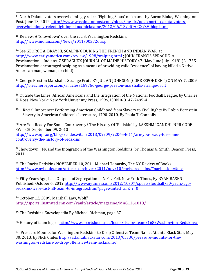<sup>14</sup> North Dakota voters overwhelmingly reject 'Fighting Sioux' nickname. by Aaron Blake, Washington Post. June 13, 2012. [http://www.washingtonpost.com/blogs/the-fix/post/north-dakota-voters](http://www.washingtonpost.com/blogs/the-fix/post/north-dakota-voters-overwhelmingly-reject-fighting-sioux-nickname/2012/06/13/gJQAiGXxZV_blog.html)[overwhelmingly-reject-fighting-sioux-nickname/2012/06/13/gJQAiGXxZV\\_blog.html](http://www.washingtonpost.com/blogs/the-fix/post/north-dakota-voters-overwhelmingly-reject-fighting-sioux-nickname/2012/06/13/gJQAiGXxZV_blog.html)

<sup>15</sup> Review: A 'Showdown' over the racist Washington Redskins. <http://www.indianz.com/News/2011/003726.asp>

 $\overline{\phantom{a}}$ 

<sup>16</sup> See GEORGE A. BRAY III, SCALPING DURING THE FRENCH AND INDIAN WAR, at <http://www.earlyamerica.com/review/1998/scalping.html> ; JOHN FRANCIS SPRAGUE, A Proclamation – Indians, 7 SPRAGUE'S JOURNAL OF MAINE HISTORY 47 (May June July 1919) (A 1755 Proclamation encouraged scalping as a means of providing valid "evidence" of having killed a Native American man, woman, or child).

<sup>17</sup> George Preston Marshall's Strange Fruit, BY JULIAN JOHNSON (CORRESPONDENT) ON MAY 7, 2009 <http://bleacherreport.com/articles/169766-george-preston-marshalls-strange-fruit>

<sup>18</sup> Outside the Lines: African Americans and the Integration of the National Football League, by Charles K. Ross, New York: New York University Press, 1999, ISBN 0-8147-7495-4.

<sup>19</sup> - Racial Innocence: Performing American Childhood from Slavery to Civil Rights By Robin Bernstein - Slavery in American Children's Literature, 1790-2010, By Paula T. Connolly

<sup>20</sup> Are You Ready For Some Controversy? The History Of 'Redskin' by LAKSHMI GANDHI, NPR CODE SWITCH, September 09, 2013 [http://www.npr.org/blogs/codeswitch/2013/09/09/220654611/are-you-ready-for-some](http://www.npr.org/blogs/codeswitch/2013/09/09/220654611/are-you-ready-for-some-controversy-the-history-of-redskins)[controversy-the-history-of-redskins](http://www.npr.org/blogs/codeswitch/2013/09/09/220654611/are-you-ready-for-some-controversy-the-history-of-redskins)

<sup>21</sup> Showdown: JFK and the Integration of the Washington Redskins, by Thomas G. Smith, Beacon Press, 2011

<sup>22</sup> The Racist Redskins NOVEMBER 10, 2011 Michael Tomasky, The NY Review of Books <http://www.nybooks.com/articles/archives/2011/nov/10/racist-redskins/?pagination=false>

<sup>23</sup> Fifty Years Ago, Last Outpost of Segregation in N.F.L. Fell, New York Times, By RYAN BASEN Published: October 6, 2012 [http://www.nytimes.com/2012/10/07/sports/football/50-years-ago](http://www.nytimes.com/2012/10/07/sports/football/50-years-ago-redskins-were-last-nfl-team-to-integrate.html?pagewanted=all&_r=0)redskins-were-last-nfl-team-to-integrate.html?pagewanted=all&r=0

<sup>24</sup> October 12, 2009, Marshall Law, Wolff <http://sportsillustrated.cnn.com/vault/article/magazine/MAG1161018/>

<sup>25</sup> The Redskins Encyclopedia By Michael Richman, page 87.

<sup>26</sup> History of team logos: [http://www.sportslogos.net/logos/list\\_by\\_team/168/Washington\\_Redskins/](http://www.sportslogos.net/logos/list_by_team/168/Washington_Redskins/)

<sup>27</sup> Pressure Mounts for Washington Redskins to Drop Offensive Team Name, Atlanta Black Star, May 30, 2013, by Nick Chiles [http://atlantablackstar.com/2013/05/30/pressure-mounts-for-the](http://atlantablackstar.com/2013/05/30/pressure-mounts-for-the-washington-redskins-to-drop-offensive-team-nickname/)[washington-redskins-to-drop-offensive-team-nickname/](http://atlantablackstar.com/2013/05/30/pressure-mounts-for-the-washington-redskins-to-drop-offensive-team-nickname/)